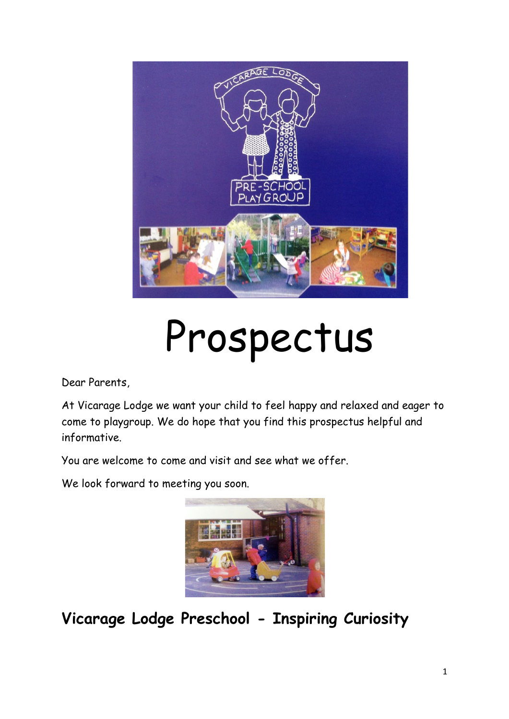

# Prospectus

Dear Parents,

At Vicarage Lodge we want your child to feel happy and relaxed and eager to come to playgroup. We do hope that you find this prospectus helpful and informative.

You are welcome to come and visit and see what we offer.

We look forward to meeting you soon.



**Vicarage Lodge Preschool - Inspiring Curiosity**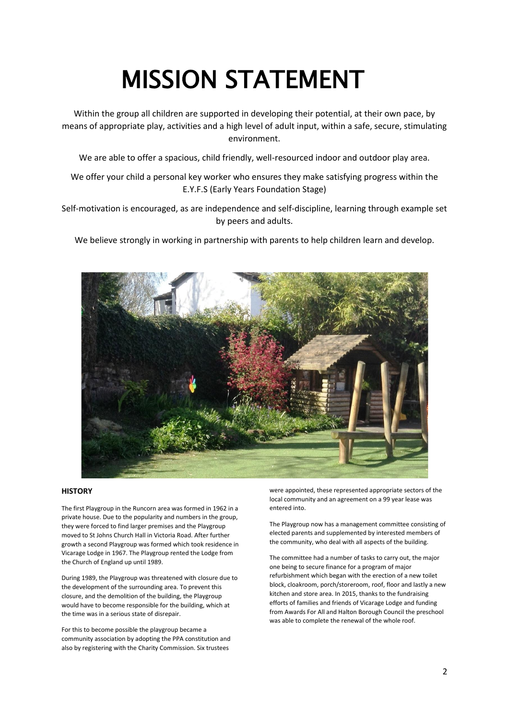# MISSION STATEMENT

Within the group all children are supported in developing their potential, at their own pace, by means of appropriate play, activities and a high level of adult input, within a safe, secure, stimulating environment.

We are able to offer a spacious, child friendly, well-resourced indoor and outdoor play area.

We offer your child a personal key worker who ensures they make satisfying progress within the E.Y.F.S (Early Years Foundation Stage)

Self-motivation is encouraged, as are independence and self-discipline, learning through example set by peers and adults.

We believe strongly in working in partnership with parents to help children learn and develop.



#### **HISTORY**

The first Playgroup in the Runcorn area was formed in 1962 in a private house. Due to the popularity and numbers in the group, they were forced to find larger premises and the Playgroup moved to St Johns Church Hall in Victoria Road. After further growth a second Playgroup was formed which took residence in Vicarage Lodge in 1967. The Playgroup rented the Lodge from the Church of England up until 1989.

During 1989, the Playgroup was threatened with closure due to the development of the surrounding area. To prevent this closure, and the demolition of the building, the Playgroup would have to become responsible for the building, which at the time was in a serious state of disrepair.

For this to become possible the playgroup became a community association by adopting the PPA constitution and also by registering with the Charity Commission. Six trustees

were appointed, these represented appropriate sectors of the local community and an agreement on a 99 year lease was entered into.

The Playgroup now has a management committee consisting of elected parents and supplemented by interested members of the community, who deal with all aspects of the building.

The committee had a number of tasks to carry out, the major one being to secure finance for a program of major refurbishment which began with the erection of a new toilet block, cloakroom, porch/storeroom, roof, floor and lastly a new kitchen and store area. In 2015, thanks to the fundraising efforts of families and friends of Vicarage Lodge and funding from Awards For All and Halton Borough Council the preschool was able to complete the renewal of the whole roof.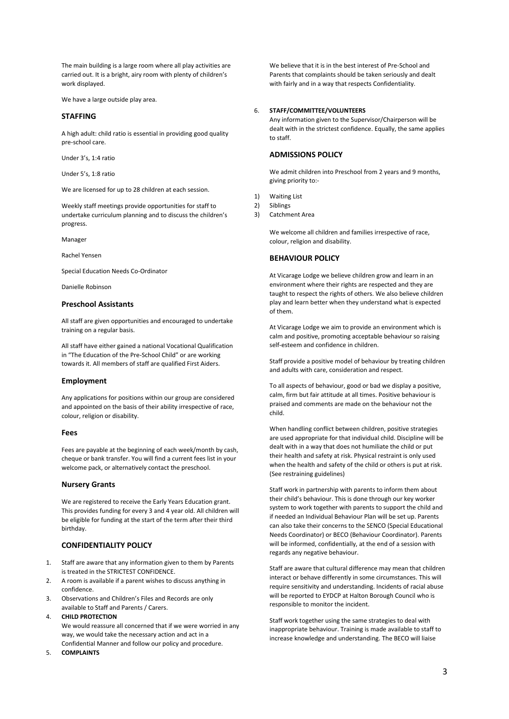The main building is a large room where all play activities are carried out. It is a bright, airy room with plenty of children's work displayed.

We have a large outside play area.

#### **STAFFING**

A high adult: child ratio is essential in providing good quality pre-school care.

Under 3's, 1:4 ratio

Under 5's, 1:8 ratio

We are licensed for up to 28 children at each session.

Weekly staff meetings provide opportunities for staff to undertake curriculum planning and to discuss the children's progress.

Manager

Rachel Yensen

Special Education Needs Co-Ordinator

Danielle Robinson

#### **Preschool Assistants**

All staff are given opportunities and encouraged to undertake training on a regular basis.

All staff have either gained a national Vocational Qualification in "The Education of the Pre-School Child" or are working towards it. All members of staff are qualified First Aiders.

#### **Employment**

Any applications for positions within our group are considered and appointed on the basis of their ability irrespective of race, colour, religion or disability.

#### **Fees**

Fees are payable at the beginning of each week/month by cash, cheque or bank transfer. You will find a current fees list in your welcome pack, or alternatively contact the preschool.

#### **Nursery Grants**

We are registered to receive the Early Years Education grant. This provides funding for every 3 and 4 year old. All children will be eligible for funding at the start of the term after their third birthday.

#### **CONFIDENTIALITY POLICY**

- 1. Staff are aware that any information given to them by Parents is treated in the STRICTEST CONFIDENCE.
- 2. A room is available if a parent wishes to discuss anything in confidence.
- 3. Observations and Children's Files and Records are only available to Staff and Parents / Carers.

#### 4. **CHILD PROTECTION**

We would reassure all concerned that if we were worried in any way, we would take the necessary action and act in a Confidential Manner and follow our policy and procedure.

5. **COMPLAINTS**

We believe that it is in the best interest of Pre-School and Parents that complaints should be taken seriously and dealt with fairly and in a way that respects Confidentiality.

#### 6. **STAFF/COMMITTEE/VOLUNTEERS**

Any information given to the Supervisor/Chairperson will be dealt with in the strictest confidence. Equally, the same applies to staff.

#### **ADMISSIONS POLICY**

We admit children into Preschool from 2 years and 9 months, giving priority to:-

- 1) Waiting List
- 2) Siblings
- 3) Catchment Area

We welcome all children and families irrespective of race, colour, religion and disability.

#### **BEHAVIOUR POLICY**

At Vicarage Lodge we believe children grow and learn in an environment where their rights are respected and they are taught to respect the rights of others. We also believe children play and learn better when they understand what is expected of them.

At Vicarage Lodge we aim to provide an environment which is calm and positive, promoting acceptable behaviour so raising self-esteem and confidence in children.

Staff provide a positive model of behaviour by treating children and adults with care, consideration and respect.

To all aspects of behaviour, good or bad we display a positive, calm, firm but fair attitude at all times. Positive behaviour is praised and comments are made on the behaviour not the child.

When handling conflict between children, positive strategies are used appropriate for that individual child. Discipline will be dealt with in a way that does not humiliate the child or put their health and safety at risk. Physical restraint is only used when the health and safety of the child or others is put at risk. (See restraining guidelines)

Staff work in partnership with parents to inform them about their child's behaviour. This is done through our key worker system to work together with parents to support the child and if needed an Individual Behaviour Plan will be set up. Parents can also take their concerns to the SENCO (Special Educational Needs Coordinator) or BECO (Behaviour Coordinator). Parents will be informed, confidentially, at the end of a session with regards any negative behaviour.

Staff are aware that cultural difference may mean that children interact or behave differently in some circumstances. This will require sensitivity and understanding. Incidents of racial abuse will be reported to EYDCP at Halton Borough Council who is responsible to monitor the incident.

Staff work together using the same strategies to deal with inappropriate behaviour. Training is made available to staff to increase knowledge and understanding. The BECO will liaise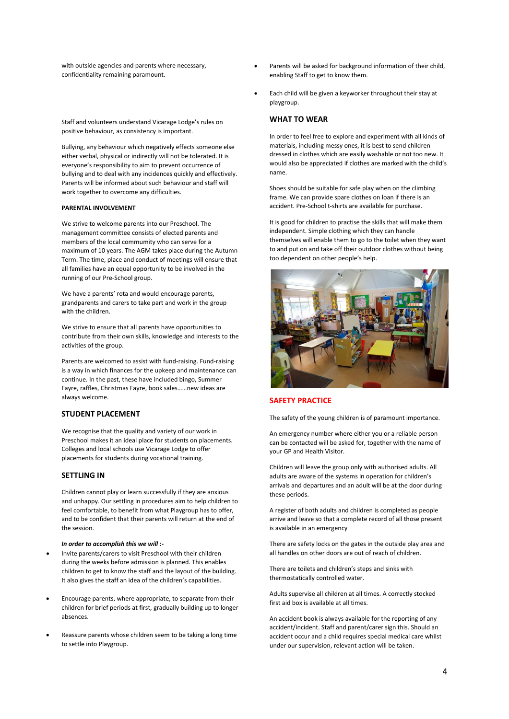with outside agencies and parents where necessary, confidentiality remaining paramount.

Staff and volunteers understand Vicarage Lodge's rules on positive behaviour, as consistency is important.

Bullying, any behaviour which negatively effects someone else either verbal, physical or indirectly will not be tolerated. It is everyone's responsibility to aim to prevent occurrence of bullying and to deal with any incidences quickly and effectively. Parents will be informed about such behaviour and staff will work together to overcome any difficulties.

#### **PARENTAL INVOLVEMENT**

We strive to welcome parents into our Preschool. The management committee consists of elected parents and members of the local commumity who can serve for a maximum of 10 years. The AGM takes place during the Autumn Term. The time, place and conduct of meetings will ensure that all families have an equal opportunity to be involved in the running of our Pre-School group.

We have a parents' rota and would encourage parents, grandparents and carers to take part and work in the group with the children.

We strive to ensure that all parents have opportunities to contribute from their own skills, knowledge and interests to the activities of the group.

Parents are welcomed to assist with fund-raising. Fund-raising is a way in which finances for the upkeep and maintenance can continue. In the past, these have included bingo, Summer Fayre, raffles, Christmas Fayre, book sales……new ideas are always welcome.

#### **STUDENT PLACEMENT**

We recognise that the quality and variety of our work in Preschool makes it an ideal place for students on placements. Colleges and local schools use Vicarage Lodge to offer placements for students during vocational training.

#### **SETTLING IN**

Children cannot play or learn successfully if they are anxious and unhappy. Our settling in procedures aim to help children to feel comfortable, to benefit from what Playgroup has to offer, and to be confident that their parents will return at the end of the session.

#### *In order to accomplish this we will :-*

- Invite parents/carers to visit Preschool with their children during the weeks before admission is planned. This enables children to get to know the staff and the layout of the building. It also gives the staff an idea of the children's capabilities.
- Encourage parents, where appropriate, to separate from their children for brief periods at first, gradually building up to longer absences.
- Reassure parents whose children seem to be taking a long time to settle into Playgroup.
- Parents will be asked for background information of their child, enabling Staff to get to know them.
- Each child will be given a keyworker throughout their stay at playgroup.

#### **WHAT TO WEAR**

In order to feel free to explore and experiment with all kinds of materials, including messy ones, it is best to send children dressed in clothes which are easily washable or not too new. It would also be appreciated if clothes are marked with the child's name.

Shoes should be suitable for safe play when on the climbing frame. We can provide spare clothes on loan if there is an accident. Pre-School t-shirts are available for purchase.

It is good for children to practise the skills that will make them independent. Simple clothing which they can handle themselves will enable them to go to the toilet when they want to and put on and take off their outdoor clothes without being too dependent on other people's help.



#### **SAFETY PRACTICE**

The safety of the young children is of paramount importance.

An emergency number where either you or a reliable person can be contacted will be asked for, together with the name of your GP and Health Visitor.

Children will leave the group only with authorised adults. All adults are aware of the systems in operation for children's arrivals and departures and an adult will be at the door during these periods.

A register of both adults and children is completed as people arrive and leave so that a complete record of all those present is available in an emergency

There are safety locks on the gates in the outside play area and all handles on other doors are out of reach of children.

There are toilets and children's steps and sinks with thermostatically controlled water.

Adults supervise all children at all times. A correctly stocked first aid box is available at all times.

An accident book is always available for the reporting of any accident/incident. Staff and parent/carer sign this. Should an accident occur and a child requires special medical care whilst under our supervision, relevant action will be taken.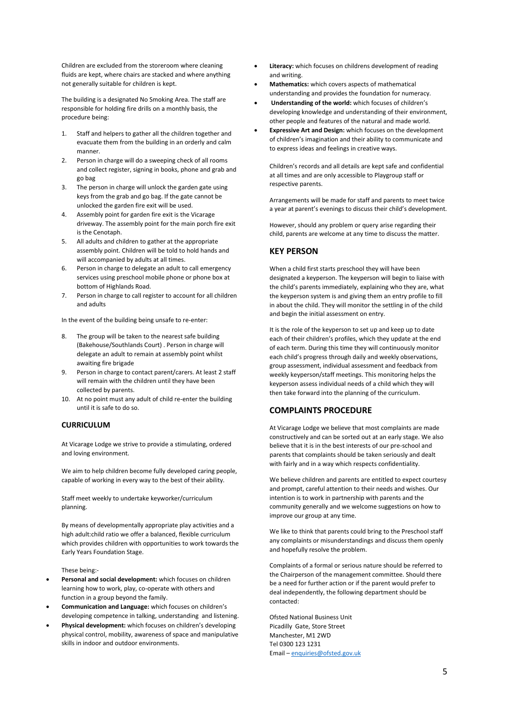Children are excluded from the storeroom where cleaning fluids are kept, where chairs are stacked and where anything not generally suitable for children is kept.

The building is a designated No Smoking Area. The staff are responsible for holding fire drills on a monthly basis, the procedure being:

- 1. Staff and helpers to gather all the children together and evacuate them from the building in an orderly and calm manner.
- 2. Person in charge will do a sweeping check of all rooms and collect register, signing in books, phone and grab and go bag
- 3. The person in charge will unlock the garden gate using keys from the grab and go bag. If the gate cannot be unlocked the garden fire exit will be used.
- 4. Assembly point for garden fire exit is the Vicarage driveway. The assembly point for the main porch fire exit is the Cenotaph.
- 5. All adults and children to gather at the appropriate assembly point. Children will be told to hold hands and will accompanied by adults at all times.
- 6. Person in charge to delegate an adult to call emergency services using preschool mobile phone or phone box at bottom of Highlands Road.
- 7. Person in charge to call register to account for all children and adults

In the event of the building being unsafe to re-enter:

- 8. The group will be taken to the nearest safe building (Bakehouse/Southlands Court) . Person in charge will delegate an adult to remain at assembly point whilst awaiting fire brigade
- 9. Person in charge to contact parent/carers. At least 2 staff will remain with the children until they have been collected by parents.
- 10. At no point must any adult of child re-enter the building until it is safe to do so.

#### **CURRICULUM**

At Vicarage Lodge we strive to provide a stimulating, ordered and loving environment.

We aim to help children become fully developed caring people, capable of working in every way to the best of their ability.

Staff meet weekly to undertake keyworker/curriculum planning.

By means of developmentally appropriate play activities and a high adult:child ratio we offer a balanced, flexible curriculum which provides children with opportunities to work towards the Early Years Foundation Stage.

These being:-

- **Personal and social development:** which focuses on children learning how to work, play, co-operate with others and function in a group beyond the family.
- **Communication and Language:** which focuses on children's developing competence in talking, understanding and listening.
- **Physical development:** which focuses on children's developing physical control, mobility, awareness of space and manipulative skills in indoor and outdoor environments.
- Literacy: which focuses on childrens development of reading and writing.
- **Mathematics:** which covers aspects of mathematical understanding and provides the foundation for numeracy.
- **Understanding of the world:** which focuses of children's developing knowledge and understanding of their environment, other people and features of the natural and made world.
- **Expressive Art and Design:** which focuses on the development of children's imagination and their ability to communicate and to express ideas and feelings in creative ways.

Children's records and all details are kept safe and confidential at all times and are only accessible to Playgroup staff or respective parents.

Arrangements will be made for staff and parents to meet twice a year at parent's evenings to discuss their child's development.

However, should any problem or query arise regarding their child, parents are welcome at any time to discuss the matter.

#### **KEY PERSON**

When a child first starts preschool they will have been designated a keyperson. The keyperson will begin to liaise with the child's parents immediately, explaining who they are, what the keyperson system is and giving them an entry profile to fill in about the child. They will monitor the settling in of the child and begin the initial assessment on entry.

It is the role of the keyperson to set up and keep up to date each of their children's profiles, which they update at the end of each term. During this time they will continuously monitor each child's progress through daily and weekly observations, group assessment, individual assessment and feedback from weekly keyperson/staff meetings. This monitoring helps the keyperson assess individual needs of a child which they will then take forward into the planning of the curriculum.

#### **COMPLAINTS PROCEDURE**

At Vicarage Lodge we believe that most complaints are made constructively and can be sorted out at an early stage. We also believe that it is in the best interests of our pre-school and parents that complaints should be taken seriously and dealt with fairly and in a way which respects confidentiality.

We believe children and parents are entitled to expect courtesy and prompt, careful attention to their needs and wishes. Our intention is to work in partnership with parents and the community generally and we welcome suggestions on how to improve our group at any time.

We like to think that parents could bring to the Preschool staff any complaints or misunderstandings and discuss them openly and hopefully resolve the problem.

Complaints of a formal or serious nature should be referred to the Chairperson of the management committee. Should there be a need for further action or if the parent would prefer to deal independently, the following department should be contacted:

Ofsted National Business Unit Picadilly Gate, Store Street Manchester, M1 2WD Tel 0300 123 1231 Email – [enquiries@ofsted.gov.uk](mailto:enquiries@ofsted.gov.uk)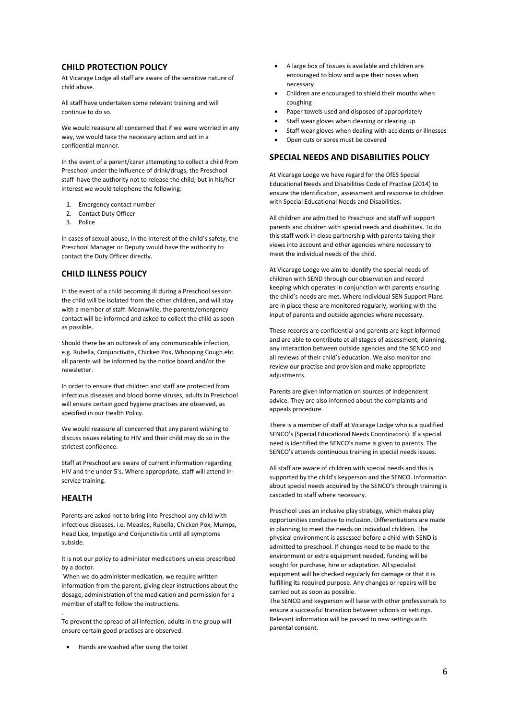#### **CHILD PROTECTION POLICY**

At Vicarage Lodge all staff are aware of the sensitive nature of child abuse.

All staff have undertaken some relevant training and will continue to do so.

We would reassure all concerned that if we were worried in any way, we would take the necessary action and act in a confidential manner.

In the event of a parent/carer attempting to collect a child from Preschool under the influence of drink/drugs, the Preschool staff have the authority not to release the child, but in his/her interest we would telephone the following:

- 1. Emergency contact number
- 2. Contact Duty Officer
- 3. Police

In cases of sexual abuse, in the interest of the child's safety, the Preschool Manager or Deputy would have the authority to contact the Duty Officer directly.

#### **CHILD ILLNESS POLICY**

In the event of a child becoming ill during a Preschool session the child will be isolated from the other children, and will stay with a member of staff. Meanwhile, the parents/emergency contact will be informed and asked to collect the child as soon as possible.

Should there be an outbreak of any communicable infection, e.g. Rubella, Conjunctivitis, Chicken Pox, Whooping Cough etc. all parents will be informed by the notice board and/or the newsletter.

In order to ensure that children and staff are protected from infectious diseases and blood borne viruses, adults in Preschool will ensure certain good hygiene practises are observed, as specified in our Health Policy.

We would reassure all concerned that any parent wishing to discuss issues relating to HIV and their child may do so in the strictest confidence.

Staff at Preschool are aware of current information regarding HIV and the under 5's. Where appropriate, staff will attend inservice training.

#### **HEALTH**

.

Parents are asked not to bring into Preschool any child with infectious diseases, i.e. Measles, Rubella, Chicken Pox, Mumps, Head Lice, Impetigo and Conjunctivitis until all symptoms subside.

It is not our policy to administer medications unless prescribed by a doctor.

When we do administer medication, we require written information from the parent, giving clear instructions about the dosage, administration of the medication and permission for a member of staff to follow the instructions.

To prevent the spread of all infection, adults in the group will ensure certain good practises are observed.

• Hands are washed after using the toilet

- A large box of tissues is available and children are encouraged to blow and wipe their noses when necessary
- Children are encouraged to shield their mouths when coughing
- Paper towels used and disposed of appropriately
- Staff wear gloves when cleaning or clearing up
- Staff wear gloves when dealing with accidents or illnesses
- Open cuts or sores must be covered

#### **SPECIAL NEEDS AND DISABILITIES POLICY**

At Vicarage Lodge we have regard for the DfES Special Educational Needs and Disabilities Code of Practise (2014) to ensure the identification, assessment and response to children with Special Educational Needs and Disabilities.

All children are admitted to Preschool and staff will support parents and children with special needs and disabilities. To do this staff work in close partnership with parents taking their views into account and other agencies where necessary to meet the individual needs of the child.

At Vicarage Lodge we aim to identify the special needs of children with SEND through our observation and record keeping which operates in conjunction with parents ensuring the child's needs are met. Where Individual SEN Support Plans are in place these are monitored regularly, working with the input of parents and outside agencies where necessary.

These records are confidential and parents are kept informed and are able to contribute at all stages of assessment, planning, any interaction between outside agencies and the SENCO and all reviews of their child's education. We also monitor and review our practise and provision and make appropriate adjustments.

Parents are given information on sources of independent advice. They are also informed about the complaints and appeals procedure.

There is a member of staff at Vicarage Lodge who is a qualified SENCO's (Special Educational Needs Coordinators). If a special need is identified the SENCO's name is given to parents. The SENCO's attends continuous training in special needs issues.

All staff are aware of children with special needs and this is supported by the child's keyperson and the SENCO. Information about special needs acquired by the SENCO's through training is cascaded to staff where necessary.

Preschool uses an inclusive play strategy, which makes play opportunities conducive to inclusion. Differentiations are made in planning to meet the needs on individual children. The physical environment is assessed before a child with SEND is admitted to preschool. If changes need to be made to the environment or extra equipment needed, funding will be sought for purchase, hire or adaptation. All specialist equipment will be checked regularly for damage or that it is fulfilling its required purpose. Any changes or repairs will be carried out as soon as possible.

The SENCO and keyperson will liaise with other professionals to ensure a successful transition between schools or settings. Relevant information will be passed to new settings with parental consent.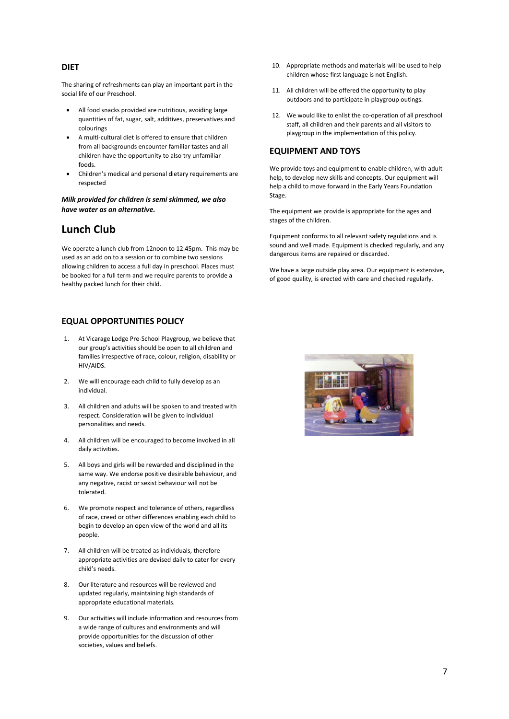#### **DIET**

The sharing of refreshments can play an important part in the social life of our Preschool.

- All food snacks provided are nutritious, avoiding large quantities of fat, sugar, salt, additives, preservatives and colourings
- A multi-cultural diet is offered to ensure that children from all backgrounds encounter familiar tastes and all children have the opportunity to also try unfamiliar foods.
- Children's medical and personal dietary requirements are respected

*Milk provided for children is semi skimmed, we also have water as an alternative.*

### **Lunch Club**

We operate a lunch club from 12noon to 12.45pm. This may be used as an add on to a session or to combine two sessions allowing children to access a full day in preschool. Places must be booked for a full term and we require parents to provide a healthy packed lunch for their child.

#### **EQUAL OPPORTUNITIES POLICY**

- 1. At Vicarage Lodge Pre-School Playgroup, we believe that our group's activities should be open to all children and families irrespective of race, colour, religion, disability or HIV/AIDS.
- 2. We will encourage each child to fully develop as an individual.
- 3. All children and adults will be spoken to and treated with respect. Consideration will be given to individual personalities and needs.
- 4. All children will be encouraged to become involved in all daily activities.
- 5. All boys and girls will be rewarded and disciplined in the same way. We endorse positive desirable behaviour, and any negative, racist or sexist behaviour will not be tolerated.
- 6. We promote respect and tolerance of others, regardless of race, creed or other differences enabling each child to begin to develop an open view of the world and all its people.
- 7. All children will be treated as individuals, therefore appropriate activities are devised daily to cater for every child's needs.
- 8. Our literature and resources will be reviewed and updated regularly, maintaining high standards of appropriate educational materials.
- 9. Our activities will include information and resources from a wide range of cultures and environments and will provide opportunities for the discussion of other societies, values and beliefs.
- 10. Appropriate methods and materials will be used to help children whose first language is not English.
- 11. All children will be offered the opportunity to play outdoors and to participate in playgroup outings.
- 12. We would like to enlist the co-operation of all preschool staff, all children and their parents and all visitors to playgroup in the implementation of this policy.

#### **EQUIPMENT AND TOYS**

We provide toys and equipment to enable children, with adult help, to develop new skills and concepts. Our equipment will help a child to move forward in the Early Years Foundation Stage.

The equipment we provide is appropriate for the ages and stages of the children.

Equipment conforms to all relevant safety regulations and is sound and well made. Equipment is checked regularly, and any dangerous items are repaired or discarded.

We have a large outside play area. Our equipment is extensive, of good quality, is erected with care and checked regularly.